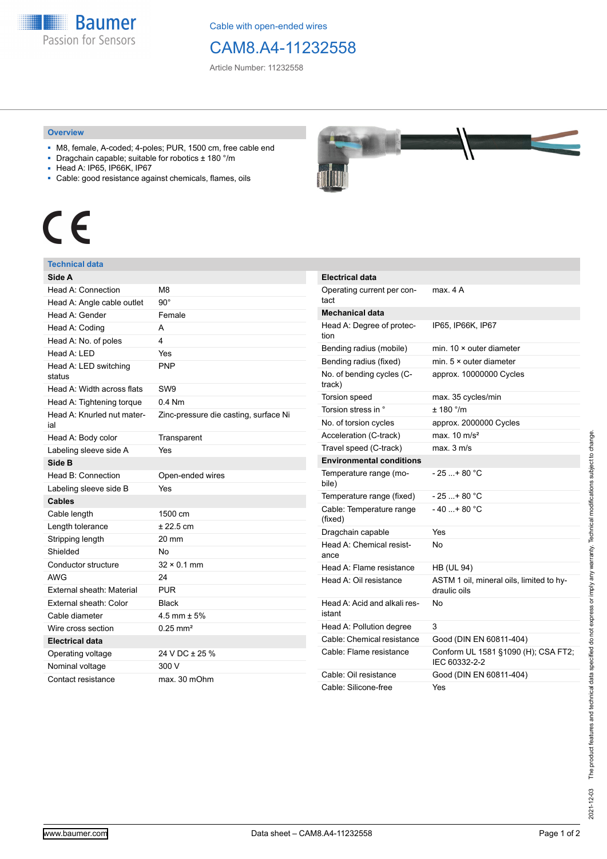**Baumer** Passion for Sensors

Cable with open-ended wires

## CAM8.A4-11232558

Article Number: 11232558

#### **Overview**

- M8, female, A-coded; 4-poles; PUR, 1500 cm, free cable end
- Dragchain capable; suitable for robotics ± 180 °/m
- Head A: IP65, IP66K, IP67
- Cable: good resistance against chemicals, flames, oils

# $\epsilon$

### **Technical data**

| Side A                            |                                       |  |  |
|-----------------------------------|---------------------------------------|--|--|
| Head A: Connection                | M <sub>8</sub>                        |  |  |
| Head A: Angle cable outlet        | $90^{\circ}$                          |  |  |
| Head A: Gender                    | Female                                |  |  |
| Head A: Coding                    | А                                     |  |  |
| Head A: No. of poles              | 4                                     |  |  |
| Head A: LED                       | Yes                                   |  |  |
| Head A: LED switching<br>status   | <b>PNP</b>                            |  |  |
| Head A: Width across flats        | SW <sub>9</sub>                       |  |  |
| Head A: Tightening torque         | $0.4$ Nm                              |  |  |
| Head A: Knurled nut mater-<br>ial | Zinc-pressure die casting, surface Ni |  |  |
| Head A: Body color                | Transparent                           |  |  |
| Labeling sleeve side A            | Yes                                   |  |  |
| Side B                            |                                       |  |  |
| Head B: Connection                | Open-ended wires                      |  |  |
| Labeling sleeve side B            | Yes                                   |  |  |
| <b>Cables</b>                     |                                       |  |  |
| Cable length                      | 1500 cm                               |  |  |
| Length tolerance                  | $± 22.5$ cm                           |  |  |
| Stripping length                  | $20 \text{ mm}$                       |  |  |
| Shielded                          | No                                    |  |  |
| Conductor structure               | $32 \times 0.1$ mm                    |  |  |
| <b>AWG</b>                        | 24                                    |  |  |
| External sheath: Material         | <b>PUR</b>                            |  |  |
| External sheath: Color            | <b>Black</b>                          |  |  |
| Cable diameter                    | 4.5 mm $\pm$ 5%                       |  |  |
| Wire cross section                | $0.25 \text{ mm}^2$                   |  |  |
| <b>Electrical data</b>            |                                       |  |  |
| Operating voltage                 | 24 V DC ± 25 %                        |  |  |
| Nominal voltage                   | 300 V                                 |  |  |
| Contact resistance                | max. 30 mOhm                          |  |  |



| <b>Electrical data</b>                 |                                                          |  |  |
|----------------------------------------|----------------------------------------------------------|--|--|
| Operating current per con-<br>tact     | max. 4 A                                                 |  |  |
| <b>Mechanical data</b>                 |                                                          |  |  |
| Head A: Degree of protec-<br>tion      | IP65, IP66K, IP67                                        |  |  |
| Bending radius (mobile)                | min. $10 \times$ outer diameter                          |  |  |
| Bending radius (fixed)                 | min. $5 \times$ outer diameter                           |  |  |
| No. of bending cycles (C-<br>track)    | approx. 10000000 Cycles                                  |  |  |
| Torsion speed                          | max. 35 cycles/min                                       |  |  |
| Torsion stress in °                    | ± 180 °/m                                                |  |  |
| No. of torsion cycles                  | approx. 2000000 Cycles                                   |  |  |
| Acceleration (C-track)                 | max. $10 \text{ m/s}^2$                                  |  |  |
| Travel speed (C-track)                 | max. 3 m/s                                               |  |  |
| <b>Environmental conditions</b>        |                                                          |  |  |
| Temperature range (mo-<br>bile)        | - 25 + 80 °C                                             |  |  |
| Temperature range (fixed)              | $-25+80 °C$                                              |  |  |
| Cable: Temperature range<br>(fixed)    | - 40 + 80 °C                                             |  |  |
| Dragchain capable                      | Yes                                                      |  |  |
| Head A: Chemical resist-<br>ance       | No                                                       |  |  |
| Head A: Flame resistance               | <b>HB (UL 94)</b>                                        |  |  |
| Head A: Oil resistance                 | ASTM 1 oil, mineral oils, limited to hy-<br>draulic oils |  |  |
| Head A: Acid and alkali res-<br>istant | N٥                                                       |  |  |
| Head A: Pollution degree               | 3                                                        |  |  |
| Cable: Chemical resistance             | Good (DIN EN 60811-404)                                  |  |  |
| Cable: Flame resistance                | Conform UL 1581 §1090 (H); CSA FT2;<br>IEC 60332-2-2     |  |  |
| Cable: Oil resistance                  | Good (DIN EN 60811-404)                                  |  |  |
| Cable: Silicone-free                   | Yes                                                      |  |  |